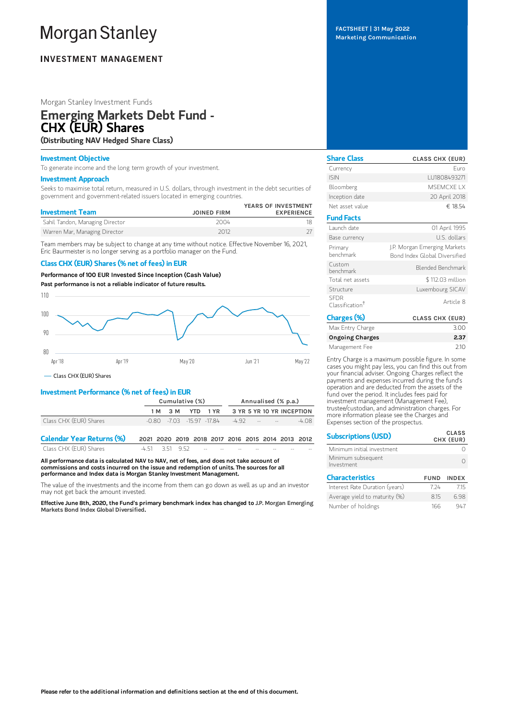# **Morgan Stanley**

## **INVESTMENT MANAGEMENT**

## Morgan Stanley Investment Funds

## Emerging Markets Debt Fund - CHX (EUR) Shares

(Distributing NAV Hedged Share Class)

### Investment Objective

To generate income and the long term growth of your investment.

#### Investment Approach

Seeks to maximise total return, measured in U.S. dollars, through investment in the debt securities of government and government-related issuers located in emerging countries.

| <b>JOINED FIRM</b> | YEARS OF INVESTMENT<br><b>EXPERIENCE</b> |
|--------------------|------------------------------------------|
| 2004               |                                          |
| 2012               |                                          |
|                    |                                          |

Team members may be subject to change at any time without notice. Effective November 16, 2021, Eric Baurmeister is no longer serving as a portfolio manager on the Fund.

## Class CHX (EUR) Shares (% net of fees) in EUR

Performance of 100 EUR Invested Since Inception (Cash Value)

Past performance is not a reliable indicator of future results.



## Investment Performance (% net of fees) in EUR

|                        | Cumulative (%) |  |  |  | Annualised (% p.a.)                            |  |  |                                       |
|------------------------|----------------|--|--|--|------------------------------------------------|--|--|---------------------------------------|
|                        |                |  |  |  |                                                |  |  | 1M 3M YTD 1YR 3YR 5YR 10 YR INCEPTION |
| Class CHX (EUR) Shares |                |  |  |  | $-0.80$ $-7.03$ $-15.97$ $-17.84$ $-4.92$ $ -$ |  |  | -4 08                                 |
|                        |                |  |  |  |                                                |  |  |                                       |

| <b>Calendar Year Returns (%)</b> | 2021 2020 2019 2018 2017 2016 2015 2014 2013 2012 |  |                                   |      |      |     |
|----------------------------------|---------------------------------------------------|--|-----------------------------------|------|------|-----|
| Class CHX (EUR) Shares           | -451 351 952                                      |  | the company's company's company's | $-1$ | $-1$ | $-$ |

All performance data is calculated NAV to NAV, net of fees, and does not take account of commissions and costs incurred on the issue and redemption of units. The sources for all performance and Index data is Morgan Stanley Investment Management.

The value of the investments and the income from them can go down as well as up and an investor may not get back the amount invested.

Effective June 8th, 2020, the Fund's primary benchmark index has changed to J.P. Morgan Emerging Markets Bond Index Global Diversified.

FACTSHEET | 31 May 2022 Marketing Communication

| <b>Share Class</b>                         | <b>CLASS CHX (EUR)</b>                                        |
|--------------------------------------------|---------------------------------------------------------------|
| Currency                                   | Furo                                                          |
| <b>ISIN</b>                                | LU1808493271                                                  |
| Bloomberg                                  | MSFMCXF IX                                                    |
| Inception date                             | 20 April 2018                                                 |
| Net asset value                            | € 18.54                                                       |
| <b>Fund Facts</b>                          |                                                               |
| Launch date                                | 01 April 1995                                                 |
| Base currency                              | U.S. dollars                                                  |
| Primary<br>henchmark                       | J.P. Morgan Emerging Markets<br>Bond Index Global Diversified |
| Custom<br>henchmark                        | Blended Benchmark                                             |
| Total net assets                           | \$112.03 million                                              |
| Structure                                  | Luxembourg SICAV                                              |
| <b>SFDR</b><br>Classification <sup>†</sup> | Article 8                                                     |
| Charges (%)                                | <b>CLASS CHX (EUR)</b>                                        |

| Lnarges (%)            | <b>CLASS CHX (EUR)</b> |
|------------------------|------------------------|
| Max Entry Charge       | 3.00                   |
| <b>Ongoing Charges</b> | 2.37                   |
| Management Fee         | 210                    |
|                        |                        |

Entry Charge is a maximum possible figure. In some cases you might pay less, you can find this out from your financial adviser. Ongoing Charges reflect the payments and expenses incurred during the fund's operation and are deducted from the assets of the fund over the period. It includes fees paid for investment management (Management Fee), trustee/custodian, and administration charges. For more information please see the Charges and Expenses section of the prospectus.

| <b>Subscriptions (USD)</b>       |             | <b>CLASS</b><br>CHX (EUR) |
|----------------------------------|-------------|---------------------------|
| Minimum initial investment       |             |                           |
| Minimum subsequent<br>Investment |             |                           |
| <b>Characteristics</b>           | <b>FUND</b> | <b>INDEX</b>              |
| Interest Rate Duration (years)   | 7 24        | 715                       |
| Average yield to maturity (%)    | 815         | 698                       |
| Number of holdings               | 166         | 947                       |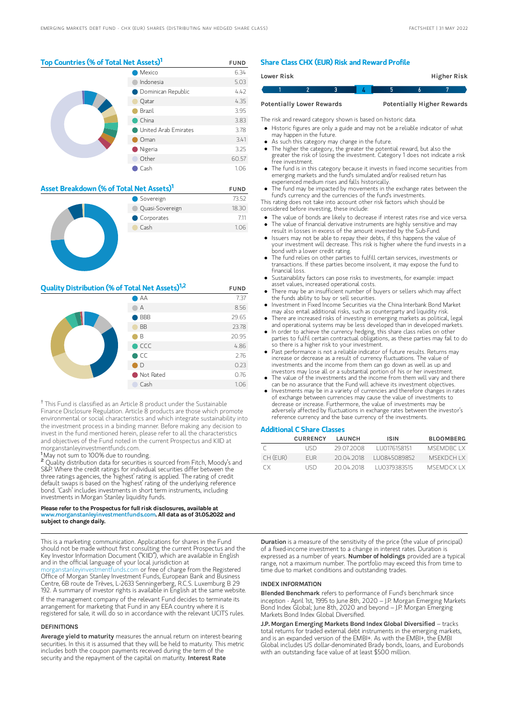#### Top Countries (% of Total Net Assets)<sup>1</sup> FUND

|  | Mexico               | 6.34  |
|--|----------------------|-------|
|  | Indonesia            | 5.03  |
|  | Dominican Republic   | 4.42  |
|  | Qatar                | 4.35  |
|  | Brazil               | 3.95  |
|  | China                | 3.83  |
|  | United Arab Emirates | 3.78  |
|  | Oman                 | 3.41  |
|  | Nigeria              | 3.25  |
|  | Other                | 60.57 |
|  | Cash                 | 1.06  |

| Asset Breakdown (% of Total Net Assets)' |                 | <b>FUND</b> |
|------------------------------------------|-----------------|-------------|
|                                          | Sovereign       | 73.52       |
|                                          | Quasi-Sovereign | 18.30       |
|                                          | Corporates      | 7.11        |
|                                          | Cash            | 1.06        |
|                                          |                 |             |

11, 11, 11

### **Quality Distribution (% of Total Net Assets)**<sup>1,2</sup> FUND

|  | $\bigcirc$ AA                                                                                                                       | 7.37  |
|--|-------------------------------------------------------------------------------------------------------------------------------------|-------|
|  | А                                                                                                                                   | 8.56  |
|  | <b>BBB</b><br><b>Contract Contract Contract Contract Contract Contract Contract Contract Contract Contract Contract Contract Co</b> | 29.65 |
|  | <b>BB</b>                                                                                                                           | 23.78 |
|  | $\bigcap$ B                                                                                                                         | 20.95 |
|  | $\bullet$ CCC                                                                                                                       | 4.86  |
|  | $\bullet$ CC                                                                                                                        | 2.76  |
|  | $\Box$                                                                                                                              | 0.23  |
|  | Not Rated                                                                                                                           | 0.76  |
|  | Cash                                                                                                                                | 1.06  |

<sup>†</sup> This Fund is classified as an Article 8 product under the Sustainable Finance Disclosure Regulation. Article 8 products are those which promote environmental or social characteristics and which integrate sustainability into the investment process in a binding manner. Before making any decision to invest in the fund mentioned herein, please refer to all the characteristics and objectives of the Fund noted in the current Prospectus and KIID at morganstanleyinvestmentfunds.com.

<sup>1</sup>May not sum to 100% due to rounding.

<sup>2</sup> Quality distribution data for securities is sourced from Fitch, Moody's and S&P. Where the credit ratings for individual securities differ between the three ratings agencies, the 'highest' rating is applied. The rating of credit default swaps is based on the 'highest' rating of the underlying reference bond. 'Cash' includes investments in short term instruments, including investments in Morgan Stanley liquidity funds.

#### Please refer to the Prospectus for full risk disclosures, available at www.morganstanleyinvestmentfunds.com. All data as of 31.05.2022 and subject to change daily.

This is a marketing communication. Applications for shares in the Fund should not be made without first consulting the current Prospectus and the Key Investor Information Document ("KIID"), which are available in English and in the official language of your local jurisdiction at

[morganstanleyinvestmentfunds.com](https://www.morganstanley.com/im/msinvf/index.html) or free of charge from the Registered Office of Morgan Stanley Investment Funds, European Bank and Business Centre, 6B route de Trèves, L-2633 Senningerberg, R.C.S. Luxemburg B 29 192. A summary of investor rights is available in English at the same website.

If the management company of the relevant Fund decides to terminate its arrangement for marketing that Fund in any EEA country where it is registered for sale, it will do so in accordance with the relevant UCITS rules.

#### DEFINITIONS

Average yield to maturity measures the annual return on interest-bearing securities. In this it is assumed that they will be held to maturity. This metric includes both the coupon payments received during the term of the<br>security and the repayment of the capital on maturity. **Interest Rate** 

#### Share Class CHX (EUR) Risk and Reward Profile

| Lower Risk |                                  |  |  | Higher Risk                       |  |
|------------|----------------------------------|--|--|-----------------------------------|--|
|            |                                  |  |  |                                   |  |
|            | <b>Potentially Lower Rewards</b> |  |  | <b>Potentially Higher Rewards</b> |  |

The risk and reward category shown is based on historic data.

Historic figures are only a guide and may not be a reliable indicator of what may happen in the future.

- As such this category may change in the future.
- The higher the category, the greater the potential reward, but also the greater the risk of losing the investment. Category 1 does not indicate a risk free investment.
- The fund is in this category because it invests in fixed income securities from emerging markets and the fund's simulated and/or realised return has experienced medium rises and falls historically.
- The fund may be impacted by movements in the exchange rates between the fund's currency and the currencies of the fund's investments.

This rating does not take into account other risk factors which should be considered before investing, these include:

- The value of bonds are likely to decrease if interest rates rise and vice versa.
- The value of financial derivative instruments are highly sensitive and may result in losses in excess of the amount invested by the Sub-Fund. Issuers may not be able to repay their debts, if this happens the value of
- your investment will decrease. This risk is higher where the fund invests in a bond with a lower credit rating. The fund relies on other parties to fulfill certain services, investments or
- transactions. If these parties become insolvent, it may expose the fund to financial loss.
- Sustainability factors can pose risks to investments, for example: impact asset values, increased operational costs.
- There may be an insufficient number of buyers or sellers which may affect the funds ability to buy or sell securities.  $\bullet$
- Investment in Fixed Income Securities via the China Interbank Bond Market may also entail additional risks, such as counterparty and liquidity risk.
- There are increased risks of investing in emerging markets as political, legal and operational systems may be less developed than in developed markets. In order to achieve the currency hedging, this share class relies on other
- parties to fulfil certain contractual obligations, as these parties may fail to do so there is a higher risk to your investment.
- Past performance is not a reliable indicator of future results. Returns may increase or decrease as a result of currency fluctuations. The value of investments and the income from them can go down as well as up and investors may lose all or a substantial portion of his or her investment.
- The value of the investments and the income from them will vary and there can be no assurance that the Fund will achieve its investment objectives.
- Investments may be in a variety of currencies and therefore changes in rates of exchange between currencies may cause the value of investments to decrease or increase. Furthermore, the value of investments may be adversely affected by fluctuations in exchange rates between the investor's reference currency and the base currency of the investments.

#### Additional C Share Classes

|            | <b>CURRENCY</b> | LAUNCH     | <b>ISIN</b>   | <b>BLOOMBERG</b> |
|------------|-----------------|------------|---------------|------------------|
|            | LISD            | 29.07.2008 | 1110176158151 | MSEMDRC LX       |
| $CH$ (FUR) | <b>FUR</b>      | 20 04 2018 | LU0845089852  | <b>MSEKDCHIX</b> |
| СX         | LISD            | 20.04.2018 | 1110379383515 | <b>MSEMDCXIX</b> |

Duration is a measure of the sensitivity of the price (the value of principal) of a fixed-income investment to a change in interest rates. Duration is expressed as a number of years. Number of holdings provided are a typical range, not a maximum number. The portfolio may exceed this from time to time due to market conditions and outstanding trades.

#### INDEX INFORMATION

Blended Benchmark refers to performance of Fund's benchmark since inception - April 1st, 1995 to June 8th, 2020 – J.P. Morgan Emerging Markets Bond Index Global; June 8th, 2020 and beyond – J.P. Morgan Emerging Markets Bond Index Global Diversified.

J.P. Morgan Emerging Markets Bond Index Global Diversified - tracks total returns for traded external debt instruments in the emerging markets, and is an expanded version of the EMBI+. As with the EMBI+, the EMBI Global includes US dollar-denominated Brady bonds, loans, and Eurobonds with an outstanding face value of at least \$500 million.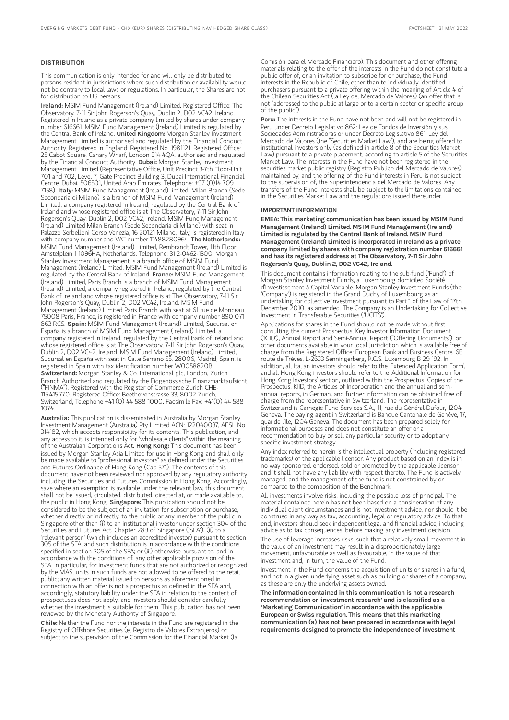#### DISTRIBUTION

This communication is only intended for and will only be distributed to persons resident in jurisdictions where such distribution or availability would not be contrary to local laws or regulations. In particular, the Shares are not for distribution to US persons.

Ireland: MSIM Fund Management (Ireland) Limited. Registered Office: The Observatory, 7-11 Sir John Rogerson's Quay, Dublin 2, D02 VC42, Ireland. Registered in Ireland as a private company limited by shares under company number 616661. MSIM Fund Management (Ireland) Limited is regulated by the Central Bank of Ireland. United Kingdom: Morgan Stanley Investment Management Limited is authorised and regulated by the Financial Conduct Authority. Registered in England. Registered No. 1981121. Registered Office: 25 Cabot Square, Canary Wharf, London E14 4QA, authorised and regulated by the Financial Conduct Authority. Dubai: Morgan Stanley Investment Management Limited (Representative Office, Unit Precinct 3-7th Floor-Unit 701 and 702, Level 7, Gate Precinct Building 3, Dubai International Financial Centre, Dubai, 506501, United Arab Emirates. Telephone: +97 (0)14 709<br>7158). I**taly:** MSIM Fund Management (Ireland)Limited, Milan Branch (Sede Secondaria di Milano) is a branch of MSIM Fund Management (Ireland) Limited, a company registered in Ireland, regulated by the Central Bank of Ireland and whose registered office is at The Observatory, 7-11 Sir John Rogerson's Quay, Dublin 2, D02 VC42, Ireland. MSIM Fund Management (Ireland) Limited Milan Branch (Sede Secondaria di Milano) with seat in Palazzo Serbelloni Corso Venezia, 16 20121 Milano, Italy, is registered in Italy with company number and VAT number 11488280964. The Netherlands: MSIM Fund Management (Ireland) Limited, Rembrandt Tower, 11th Floor Amstelplein 1 1096HA, Netherlands. Telephone: 31 2-0462-1300. Morgan Stanley Investment Management is a branch office of MSIM Fund Management (Ireland) Limited. MSIM Fund Management (Ireland) Limited is regulated by the Central Bank of Ireland. France: MSIM Fund Management (Ireland) Limited, Paris Branch is a branch of MSIM Fund Management (Ireland) Limited, a company registered in Ireland, regulated by the Central Bank of Ireland and whose registered office is at The Observatory, 7-11 Sir John Rogerson's Quay, Dublin 2, D02 VC42, Ireland. MSIM Fund Management (Ireland) Limited Paris Branch with seat at 61 rue de Monceau 75008 Paris, France, is registered in France with company number 890 071 863 RCS. Spain: MSIM Fund Management (Ireland) Limited, Sucursal en España is a branch of MSIM Fund Management (Ireland) Limited, a company registered in Ireland, regulated by the Central Bank of Ireland and whose registered office is at The Observatory, 7-11 Sir John Rogerson's Quay, Dublin 2, D02 VC42, Ireland. MSIM Fund Management (Ireland) Limited, Sucursal en España with seat in Calle Serrano 55, 28006, Madrid, Spain, is registered in Spain with tax identification number W0058820B. Switzerland: Morgan Stanley & Co. International plc, London, Zurich Branch Authorised and regulated by the Eidgenössische Finanzmarktaufsicht ("FINMA"). Registered with the Register of Commerce Zurich CHE-115.415.770. Registered Office: Beethovenstrasse 33, 8002 Zurich, Switzerland, Telephone +41 (0) 44 588 1000. Facsimile Fax: +41(0) 44 588 1074.

Australia: This publication is disseminated in Australia by Morgan Stanley Investment Management (Australia) Pty Limited ACN: 122040037, AFSL No. 314182, which accepts responsibility for its contents. This publication, and any access to it, is intended only for "wholesale clients" within the meaning of the Australian Corporations Act. Hong Kong: This document has been issued by Morgan Stanley Asia Limited for use in Hong Kong and shall only be made available to "professional investors" as defined under the Securities and Futures Ordinance of Hong Kong (Cap 571). The contents of this document have not been reviewed nor approved by any regulatory authority including the Securities and Futures Commission in Hong Kong. Accordingly, save where an exemption is available under the relevant law, this document shall not be issued, circulated, distributed, directed at, or made available to, the public in Hong Kong. Singapore: This publication should not be considered to be the subject of an invitation for subscription or purchase, whether directly or indirectly, to the public or any member of the public in Singapore other than (i) to an institutional investor under section 304 of the Securities and Futures Act, Chapter 289 of Singapore ("SFA"), (ii) to a "relevant person" (which includes an accredited investor) pursuant to section 305 of the SFA, and such distribution is in accordance with the conditions specified in section 305 of the SFA; or (iii) otherwise pursuant to, and in accordance with the conditions of, any other applicable provision of the SFA. In particular, for investment funds that are not authorized or recognized by the MAS, units in such funds are not allowed to be offered to the retail public; any written material issued to persons as aforementioned in connection with an offer is not a prospectus as defined in the SFA and, accordingly, statutory liability under the SFA in relation to the content of prospectuses does not apply, and investors should consider carefully whether the investment is suitable for them. This publication has not been reviewed by the Monetary Authority of Singapore.

Chile: Neither the Fund nor the interests in the Fund are registered in the Registry of Offshore Securities (el Registro de Valores Extranjeros) or subject to the supervision of the Commission for the Financial Market (la

Comisión para el Mercado Financiero). This document and other offering materials relating to the offer of the interests in the Fund do not constitute a public offer of, or an invitation to subscribe for or purchase, the Fund interests in the Republic of Chile, other than to individually identified purchasers pursuant to a private offering within the meaning of Article 4 of the Chilean Securities Act (la Ley del Mercado de Valores) (an offer that is not "addressed to the public at large or to a certain sector or specific group of the public").

Peru: The interests in the Fund have not been and will not be registered in Peru under Decreto Legislativo 862: Ley de Fondos de Inversión y sus Sociedades Administradoras or under Decreto Legislativo 861: Ley del Mercado de Valores (the "Securities Market Law"), and are being offered to institutional investors only (as defined in article 8 of the Securities Market Law) pursuant to a private placement, according to article 5 of the Securities Market Law. The interests in the Fund have not been registered in the securities market public registry (Registro Público del Mercado de Valores) maintained by, and the offering of the Fund interests in Peru is not subject to the supervision of, the Superintendencia del Mercado de Valores. Any transfers of the Fund interests shall be subject to the limitations contained in the Securities Market Law and the regulations issued thereunder.

#### IMPORTANT INFORMATION

EMEA: This marketing communication has been issued by MSIM Fund Management (Ireland) Limited. MSIM Fund Management (Ireland) Limited is regulated by the Central Bank of Ireland. MSIM Fund Management (Ireland) Limited is incorporated in Ireland as a private company limited by shares with company registration number 616661 and has its registered address at The Observatory, 7-11 Sir John Rogerson's Quay, Dublin 2, D02 VC42, Ireland.

This document contains information relating to the sub-fund ("Fund") of Morgan Stanley Investment Funds, a Luxembourg domiciled Société d'Investissement à Capital Variable. Morgan Stanley Investment Funds (the "Company") is registered in the Grand Duchy of Luxembourg as an undertaking for collective investment pursuant to Part 1 of the Law of 17th December 2010, as amended. The Company is an Undertaking for Collective Investment in Transferable Securities ("UCITS").

Applications for shares in the Fund should not be made without first consulting the current Prospectus, Key Investor Information Document ("KIID"), Annual Report and Semi-Annual Report ("Offering Documents"), or other documents available in your local jurisdiction which is available free of charge from the Registered Office: European Bank and Business Centre, 6B route de Trèves, L-2633 Senningerberg, R.C.S. Luxemburg B 29 192. In addition, all Italian investors should refer to the 'Extended Application Form', and all Hong Kong investors should refer to the 'Additional Information for Hong Kong Investors' section, outlined within the Prospectus. Copies of the Prospectus, KIID, the Articles of Incorporation and the annual and semiannual reports, in German, and further information can be obtained free of charge from the representative in Switzerland. The representative in Switzerland is Carnegie Fund Services S.A., 11, rue du Général-Dufour, 1204 Geneva. The paying agent in Switzerland is Banque Cantonale de Genève, 17, quai de l'Ile, 1204 Geneva. The document has been prepared solely for informational purposes and does not constitute an offer or a recommendation to buy or sell any particular security or to adopt any specific investment strategy.

Any index referred to herein is the intellectual property (including registered trademarks) of the applicable licensor. Any product based on an index is in no way sponsored, endorsed, sold or promoted by the applicable licensor and it shall not have any liability with respect thereto. The Fund is actively managed, and the management of the fund is not constrained by or compared to the composition of the Benchmark.

All investments involve risks, including the possible loss of principal. The material contained herein has not been based on a consideration of any individual client circumstances and is not investment advice, nor should it be construed in any way as tax, accounting, legal or regulatory advice. To that end, investors should seek independent legal and financial advice, including advice as to tax consequences, before making any investment decision.

The use of leverage increases risks, such that a relatively small movement in the value of an investment may result in a disproportionately large movement, unfavourable as well as favourable, in the value of that investment and, in turn, the value of the Fund.

Investment in the Fund concerns the acquisition of units or shares in a fund, and not in a given underlying asset such as building or shares of a company, as these are only the underlying assets owned.

The information contained in this communication is not a research recommendation or 'investment research' and is classified as a 'Marketing Communication' in accordance with the applicable European or Swiss regulation. This means that this marketing communication (a) has not been prepared in accordance with legal requirements designed to promote the independence of investment